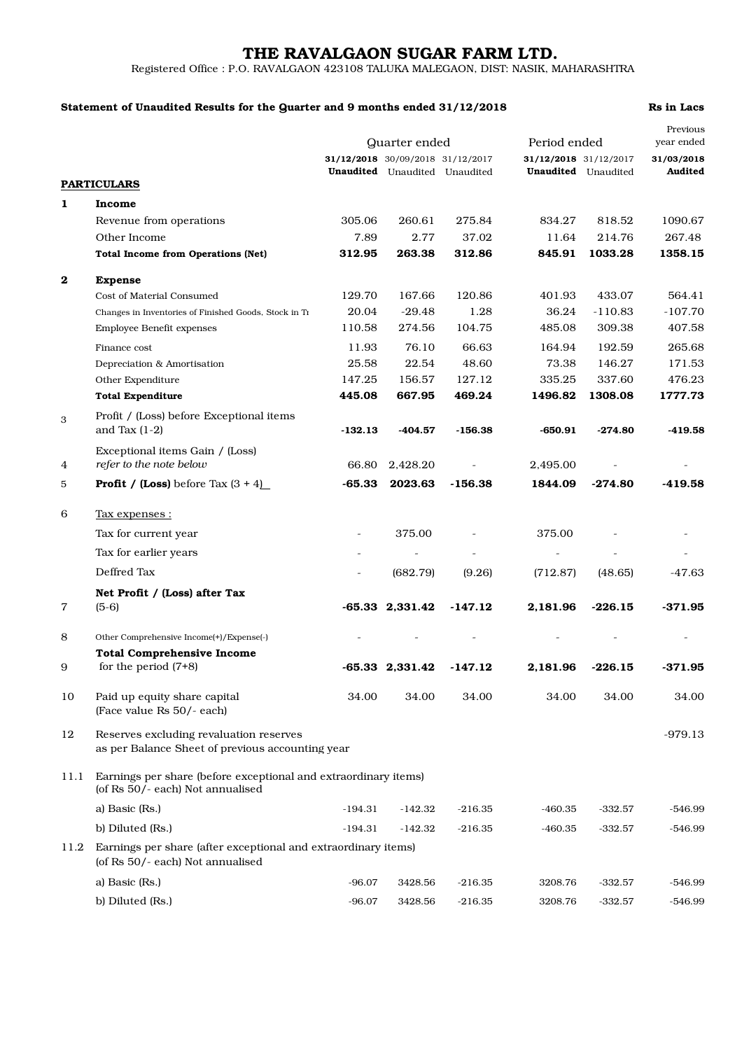# THE RAVALGAON SUGAR FARM LTD.

Registered Office : P.O. RAVALGAON 423108 TALUKA MALEGAON, DIST: NASIK, MAHARASHTRA

### Statement of Unaudited Results for the Quarter and 9 months ended 31/12/2018 Rs in Lacs

|          |                                                                                                     | Quarter ended            |                                      |           |                       | Period ended               |                          |
|----------|-----------------------------------------------------------------------------------------------------|--------------------------|--------------------------------------|-----------|-----------------------|----------------------------|--------------------------|
|          |                                                                                                     |                          | 31/12/2018 30/09/2018 31/12/2017     |           | 31/12/2018 31/12/2017 |                            | year ended<br>31/03/2018 |
|          |                                                                                                     |                          | <b>Unaudited</b> Unaudited Unaudited |           |                       | <b>Unaudited</b> Unaudited | Audited                  |
|          | <b>PARTICULARS</b>                                                                                  |                          |                                      |           |                       |                            |                          |
| 1        | Income                                                                                              |                          |                                      |           |                       |                            |                          |
|          | Revenue from operations                                                                             | 305.06                   | 260.61                               | 275.84    | 834.27                | 818.52                     | 1090.67                  |
|          | Other Income                                                                                        | 7.89                     | 2.77                                 | 37.02     | 11.64                 | 214.76                     | 267.48                   |
|          | <b>Total Income from Operations (Net)</b>                                                           | 312.95                   | 263.38                               | 312.86    | 845.91                | 1033.28                    | 1358.15                  |
| $\bf{2}$ | <b>Expense</b>                                                                                      |                          |                                      |           |                       |                            |                          |
|          | Cost of Material Consumed                                                                           | 129.70                   | 167.66                               | 120.86    | 401.93                | 433.07                     | 564.41                   |
|          | Changes in Inventories of Finished Goods, Stock in Tr                                               | 20.04                    | $-29.48$                             | 1.28      | 36.24                 | $-110.83$                  | $-107.70$                |
|          | Employee Benefit expenses                                                                           | 110.58                   | 274.56                               | 104.75    | 485.08                | 309.38                     | 407.58                   |
|          | Finance cost                                                                                        | 11.93                    | 76.10                                | 66.63     | 164.94                | 192.59                     | 265.68                   |
|          | Depreciation & Amortisation                                                                         | 25.58                    | 22.54                                | 48.60     | 73.38                 | 146.27                     | 171.53                   |
|          | Other Expenditure                                                                                   | 147.25                   | 156.57                               | 127.12    | 335.25                | 337.60                     | 476.23                   |
|          | <b>Total Expenditure</b>                                                                            | 445.08                   | 667.95                               | 469.24    | 1496.82               | 1308.08                    | 1777.73                  |
| 3        | Profit / (Loss) before Exceptional items                                                            |                          |                                      |           |                       |                            |                          |
|          | and Tax $(1-2)$                                                                                     | $-132.13$                | -404.57                              | $-156.38$ | $-650.91$             | $-274.80$                  | $-419.58$                |
| 4        | Exceptional items Gain / (Loss)<br>refer to the note below                                          | 66.80                    | 2,428.20                             |           | 2,495.00              |                            |                          |
| 5        | <b>Profit</b> / (Loss) before Tax $(3 + 4)$                                                         | $-65.33$                 | 2023.63                              | $-156.38$ | 1844.09               | $-274.80$                  | -419.58                  |
| 6        | <u>Tax expenses :</u>                                                                               |                          |                                      |           |                       |                            |                          |
|          | Tax for current year                                                                                | $\overline{\phantom{a}}$ | 375.00                               |           | 375.00                |                            |                          |
|          | Tax for earlier years                                                                               |                          |                                      |           | L.                    |                            |                          |
|          | Deffred Tax                                                                                         |                          | (682.79)                             | (9.26)    | (712.87)              | (48.65)                    | -47.63                   |
|          | Net Profit / (Loss) after Tax                                                                       |                          |                                      |           |                       |                            |                          |
| 7        | $(5-6)$                                                                                             |                          | $-65.33$ 2,331.42                    | $-147.12$ | 2,181.96              | $-226.15$                  | $-371.95$                |
| 8        | Other Comprehensive Income(+)/Expense(-)                                                            |                          |                                      |           |                       |                            |                          |
|          | <b>Total Comprehensive Income</b>                                                                   |                          |                                      |           |                       |                            |                          |
| 9        | for the period $(7+8)$                                                                              |                          | $-65.33$ 2,331.42                    | $-147.12$ | 2,181.96              | $-226.15$                  | $-371.95$                |
| 10       | Paid up equity share capital                                                                        | 34.00                    | 34.00                                | 34.00     | 34.00                 | 34.00                      | 34.00                    |
|          | (Face value Rs 50/- each)                                                                           |                          |                                      |           |                       |                            |                          |
| 12       | Reserves excluding revaluation reserves<br>as per Balance Sheet of previous accounting year         |                          |                                      |           |                       |                            | $-979.13$                |
| 11.1     | Earnings per share (before exceptional and extraordinary items)<br>(of Rs 50/- each) Not annualised |                          |                                      |           |                       |                            |                          |
|          | a) Basic (Rs.)                                                                                      | $-194.31$                | $-142.32$                            | $-216.35$ | -460.35               | $-332.57$                  | -546.99                  |
|          | b) Diluted (Rs.)                                                                                    | $-194.31$                | $-142.32$                            | $-216.35$ | -460.35               | -332.57                    | $-546.99$                |
| 11.2     | Earnings per share (after exceptional and extraordinary items)<br>(of Rs 50/- each) Not annualised  |                          |                                      |           |                       |                            |                          |
|          | a) Basic (Rs.)                                                                                      | $-96.07$                 | 3428.56                              | $-216.35$ | 3208.76               | $-332.57$                  | $-546.99$                |
|          | b) Diluted (Rs.)                                                                                    | $-96.07$                 | 3428.56                              | $-216.35$ | 3208.76               | $-332.57$                  | $-546.99$                |